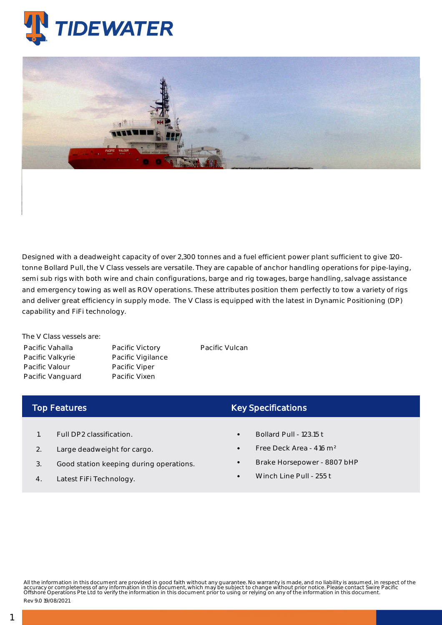



Designed with a deadweight capacity of over 2,300 tonnes and a fuel efficient power plant sufficient to give 120 tonne Bollard Pull, the V Class vessels are versatile. They are capable of anchor handling operations for pipe-laying, semi sub rigs with both wire and chain configurations, barge and rig towages, barge handling, salvage assistance and emergency towing as well as ROV operations. These attributes position them perfectly to tow a variety of rigs and deliver great efficiency in supply mode. The V Class is equipped with the latest in Dynamic Positioning (DP) capability and FiFi technology.

The V Class vessels are: Pacific Vahalla Pacific Valkyrie Pacific Valour Pacific Vanguard

Pacific Victory Pacific Vigilance Pacific Viper Pacific Vixen

Pacific Vulcan

## Top Features

- 1. Full DP2 classification.
- 2. Large deadweight for cargo.
- 3. Good station keeping during operations.
- 4. Latest FiFi Technology.

## Key Specifications

- Bollard Pull 123.15 t
- Free Deck Area 416 m²
- Brake Horsepower 8807 bHP
- Winch Line Pull 255 t

All the information in this document are provided in good faith without any guarantee. No warranty is made, and no liability is assumed, in respect of the<br>accuracy or completeness of any information in this document, which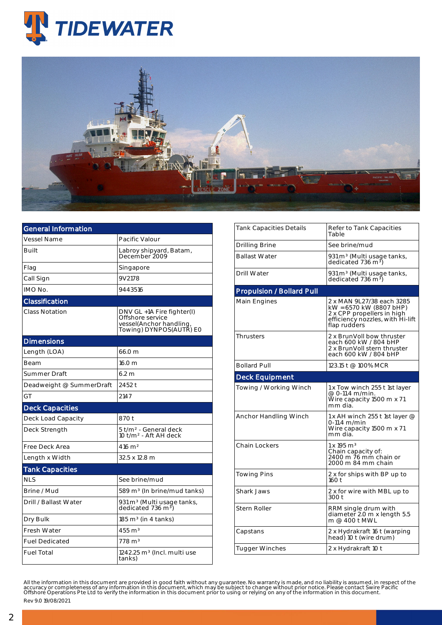



| <b>General Information</b> |                                                                                                      |  |  |  |  |
|----------------------------|------------------------------------------------------------------------------------------------------|--|--|--|--|
| Vessel Name                | Pacific Valour                                                                                       |  |  |  |  |
| <b>Built</b>               | Labroy shipyard, Batam,<br>December 2009                                                             |  |  |  |  |
| Flag                       | Singapore                                                                                            |  |  |  |  |
| Call Sign                  | 9V2178                                                                                               |  |  |  |  |
| IMO No.                    | 9443516                                                                                              |  |  |  |  |
| Classification             |                                                                                                      |  |  |  |  |
| Class Notation             | DNV GL +1A Fire fighter(I)<br>Offshore service<br>vessel(Anchor handling,<br>Towing) DYNPOS(AUTR) E0 |  |  |  |  |
| <b>Dimensions</b>          |                                                                                                      |  |  |  |  |
| Length (LOA)               | 66.0 m                                                                                               |  |  |  |  |
| Beam                       | 16.0 m                                                                                               |  |  |  |  |
| Summer Draft               | 6.2 m                                                                                                |  |  |  |  |
| Deadweight @ SummerDraft   | 2452 t                                                                                               |  |  |  |  |
| GT                         | 2147                                                                                                 |  |  |  |  |
| <b>Deck Capacities</b>     |                                                                                                      |  |  |  |  |
| Deck Load Capacity         | 870 t                                                                                                |  |  |  |  |
| Deck Strength              | 5 t/m² - General deck<br>10 t/m <sup>2</sup> - Aft AH deck                                           |  |  |  |  |
| Free Deck Area             | $416 \; \mathrm{m}^2$                                                                                |  |  |  |  |
| Length x Width             | 32.5 x 12.8 m                                                                                        |  |  |  |  |
| <b>Tank Capacities</b>     |                                                                                                      |  |  |  |  |
| <b>NLS</b>                 | See brine/mud                                                                                        |  |  |  |  |
| Brine / Mud                | 589 m <sup>3</sup> (In brine/mud tanks)                                                              |  |  |  |  |
| Drill / Ballast Water      | 931 m <sup>3</sup> (Multi usage tanks,<br>dedicated 736 m <sup>3</sup> )                             |  |  |  |  |
| Dry Bulk                   | 185 m <sup>3</sup> (in 4 tanks)                                                                      |  |  |  |  |
| Fresh Water                | $455 \text{ m}^3$                                                                                    |  |  |  |  |
| <b>Fuel Dedicated</b>      | $778 \text{ m}^3$                                                                                    |  |  |  |  |
| <b>Fuel Total</b>          | $1242.25$ m <sup>3</sup> (Incl. multi use<br>tanks)                                                  |  |  |  |  |

| Tank Capacities Details          | Refer to Tank Capacities<br>Table                                                                                                      |  |  |  |  |
|----------------------------------|----------------------------------------------------------------------------------------------------------------------------------------|--|--|--|--|
| Drilling Brine                   | See brine/mud                                                                                                                          |  |  |  |  |
| <b>Ballast Water</b>             | 931 m <sup>3</sup> (Multi usage tanks,<br>dedicated 736 m <sup>3</sup> )                                                               |  |  |  |  |
| Drill Water                      | 931 m <sup>3</sup> (Multi usage tanks,<br>dedicated 736 m <sup>3</sup> )                                                               |  |  |  |  |
| <b>Propulsion / Bollard Pull</b> |                                                                                                                                        |  |  |  |  |
| Main Engines                     | 2 x MAN 9L27/38 each 3285<br>kW = 6570 kW (8807 bHP)<br>2 x CPP propellers in high<br>efficiency nozzles, with Hi-lift<br>flap rudders |  |  |  |  |
| Thrusters                        | 2 x BrunVoll bow thruster<br>each 600 kW / 804 bHP<br>2 x BrunVoll stern thruster<br>each 600 kW / 804 bHP                             |  |  |  |  |
| <b>Bollard Pull</b>              | 123.15 t @ 100% MCR                                                                                                                    |  |  |  |  |
| <b>Deck Equipment</b>            |                                                                                                                                        |  |  |  |  |
| Towing / Working Winch           | 1 x Tow winch 255 t 1st layer<br>@ 0-11.4 m/min.<br>Wire capacity 1500 m x 71<br>mm dia.                                               |  |  |  |  |
| Anchor Handling Winch            | 1 x AH winch 255 t 1st layer @<br>$0-11.4$ m/min<br>Wire capacity 1500 m x 71<br>mm dia.                                               |  |  |  |  |
| <b>Chain Lockers</b>             | $1 \times 195 \text{ m}^3$<br>Chain capacity of:<br>2400 m 76 mm chain or<br>2000 m 84 mm chain                                        |  |  |  |  |
| <b>Towing Pins</b>               | 2 x for ships with BP up to<br>160t                                                                                                    |  |  |  |  |
| Shark Jaws                       | 2 x for wire with MBL up to<br>300 t                                                                                                   |  |  |  |  |
| <b>Stern Roller</b>              | RRM single drum with<br>diameter 2.0 m x length 5.5<br>m @ 400 t MWL                                                                   |  |  |  |  |
| Capstans                         | 2 x Hydrakraft 16 t (warping<br>head) 10 t (wire drum)                                                                                 |  |  |  |  |
| <b>Tugger Winches</b>            | 2 x Hydrakraft 10 t                                                                                                                    |  |  |  |  |
|                                  |                                                                                                                                        |  |  |  |  |

All the information in this document are provided in good faith without any guarantee. No warranty is made, and no liability is assumed, in respect of the<br>accuracy or completeness of any information in this document, which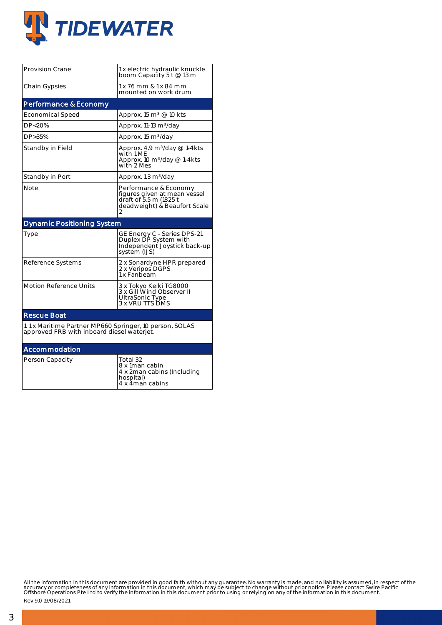

| <b>Provision Crane</b>                                                                                | 1 x electric hydraulic knuckle<br>boom Capacity 5 t @ 13 m                                                           |  |  |  |  |  |
|-------------------------------------------------------------------------------------------------------|----------------------------------------------------------------------------------------------------------------------|--|--|--|--|--|
| <b>Chain Gypsies</b>                                                                                  | 1 x 76 mm & 1 x 84 mm<br>mounted on work drum                                                                        |  |  |  |  |  |
| Performance & Economy                                                                                 |                                                                                                                      |  |  |  |  |  |
| <b>Economical Speed</b>                                                                               | Approx. 15 m <sup>3</sup> @ 10 kts                                                                                   |  |  |  |  |  |
| DP<20%                                                                                                | Approx. 11-13 m <sup>3</sup> /day                                                                                    |  |  |  |  |  |
| DP>35%                                                                                                | Approx. 15 m <sup>3</sup> /day                                                                                       |  |  |  |  |  |
| Standby in Field                                                                                      | Approx. 4.9 $m^3$ /day @ 1-4kts<br>with 1 ME<br>Approx. 10 $m^3$ /day @ 1-4kts<br>with 2 Mes                         |  |  |  |  |  |
| Standby in Port                                                                                       | Approx. 1.3 m <sup>3</sup> /day                                                                                      |  |  |  |  |  |
| Note                                                                                                  | Performance & Economy<br>figures given at mean vessel<br>draft of 5.5 m (1825 t<br>deadweight) & Beaufort Scale<br>2 |  |  |  |  |  |
| <b>Dynamic Positioning System</b>                                                                     |                                                                                                                      |  |  |  |  |  |
| Type                                                                                                  | GE Energy C - Series DPS-21<br>Duplex DP System with<br>Independent Joystick back-up<br>system (IJS)                 |  |  |  |  |  |
| Reference Systems                                                                                     | 2 x Sonardyne HPR prepared<br>2 x Veripos DGPS<br>1 x Fanbeam                                                        |  |  |  |  |  |
| <b>Motion Reference Units</b>                                                                         | 3 x Tokyo Keiki TG8000<br>3 x Gill Wind Observer II<br>UltraSonic Type<br>3 x VRU TTS DMS                            |  |  |  |  |  |
| <b>Rescue Boat</b>                                                                                    |                                                                                                                      |  |  |  |  |  |
| 1.1 x Maritime Partner MP660 Springer, 10 person, SOLAS<br>approved FRB with inboard diesel waterjet. |                                                                                                                      |  |  |  |  |  |
| Accommodation                                                                                         |                                                                                                                      |  |  |  |  |  |
| Person Capacity                                                                                       | Total 32<br>8 x 1man cabin<br>4 x 2man cabins (Including<br>hospital)<br>4 x 4 man cabins                            |  |  |  |  |  |

All the information in this document are provided in good faith without any guarantee. No warranty is made, and no liability is assumed, in respect of the<br>accuracy or completeness of any information in this document, which